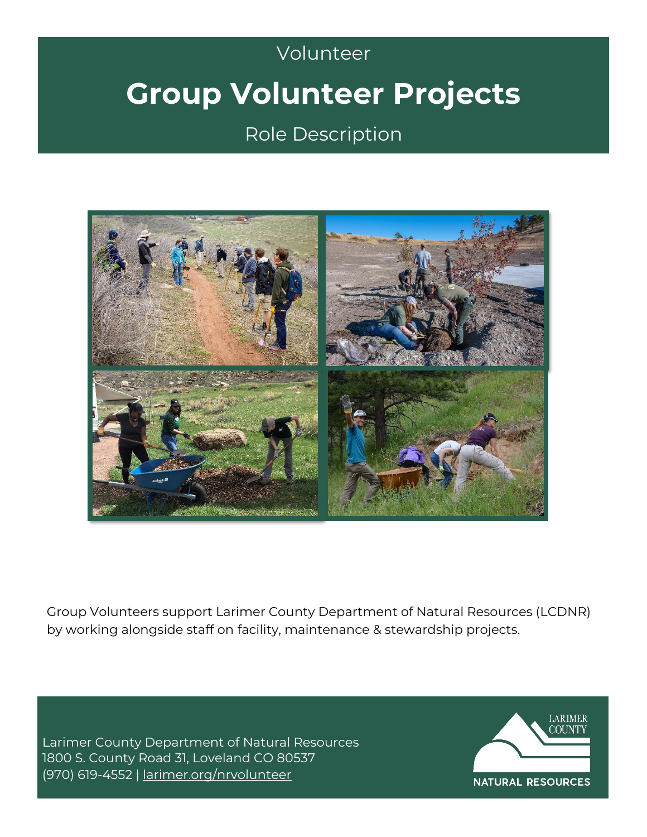## Volunteer Volunteer **Group Volunteer Projects**

Role Description



Group Volunteers support Larimer County Department of Natural Resources (LCDNR) by working alongside staff on facility, maintenance & stewardship projects.

Larimer County Department of Natural Resources 1800 S. County Road 31, Loveland CO 80537 (970) 619-4552 | [larimer.org/nrvolunteer](http://www.larimer.org/nrvolunteer)

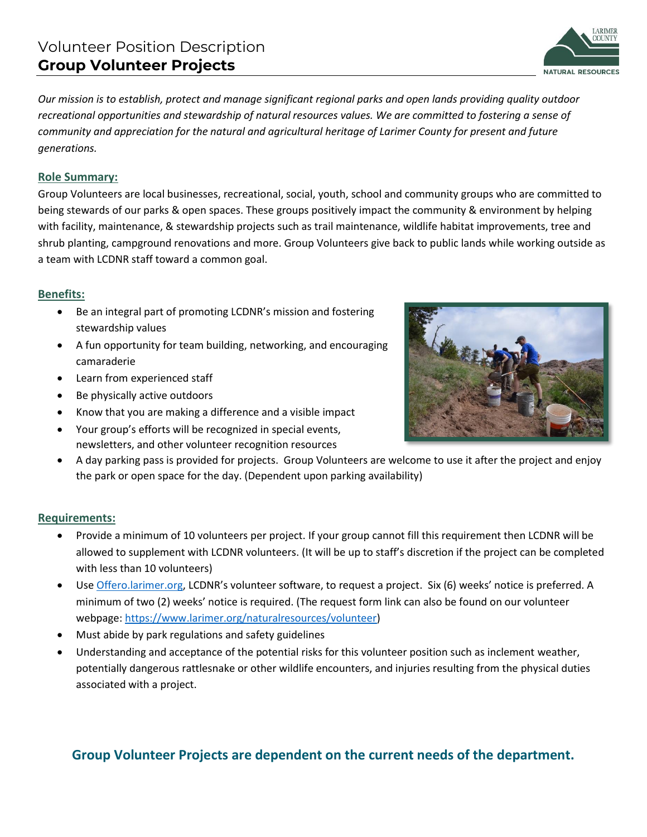*Our mission is to establish, protect and manage significant regional parks and open lands providing quality outdoor recreational opportunities and stewardship of natural resources values. We are committed to fostering a sense of community and appreciation for the natural and agricultural heritage of Larimer County for present and future generations.* 

## **Role Summary:**

Group Volunteers are local businesses, recreational, social, youth, school and community groups who are committed to being stewards of our parks & open spaces. These groups positively impact the community & environment by helping with facility, maintenance, & stewardship projects such as trail maintenance, wildlife habitat improvements, tree and shrub planting, campground renovations and more. Group Volunteers give back to public lands while working outside as a team with LCDNR staff toward a common goal.

## **Benefits:**

- Be an integral part of promoting LCDNR's mission and fostering stewardship values
- A fun opportunity for team building, networking, and encouraging camaraderie
- Learn from experienced staff
- 
- Know that you are making a difference and a visible impact
- Your group's efforts will be recognized in special events, newsletters, and other volunteer recognition resources
- A day parking pass is provided for projects. Group Volunteers are welcome to use it after the project and enjoy the park or open space for the day. (Dependent upon parking availability)

## **Requirements:**

- Provide a minimum of 10 volunteers per project. If your group cannot fill this requirement then LCDNR will be allowed to supplement with LCDNR volunteers. (It will be up to staff's discretion if the project can be completed with less than 10 volunteers)
- Use [Offero.larimer.org](https://offero.larimer.org/), LCDNR's volunteer software, to request a project. Six (6) weeks' notice is preferred. A minimum of two (2) weeks' notice is required. (The request form link can also be found on our volunteer webpage: [https://www.larimer.org/naturalresources/volunteer\)](https://www.larimer.org/naturalresources/volunteer)
- Must abide by park regulations and safety guidelines
- Understanding and acceptance of the potential risks for this volunteer position such as inclement weather, potentially dangerous rattlesnake or other wildlife encounters, and injuries resulting from the physical duties associated with a project.

## **Group Volunteer Projects are dependent on the current needs of the department.**

# Be physically active outdoors



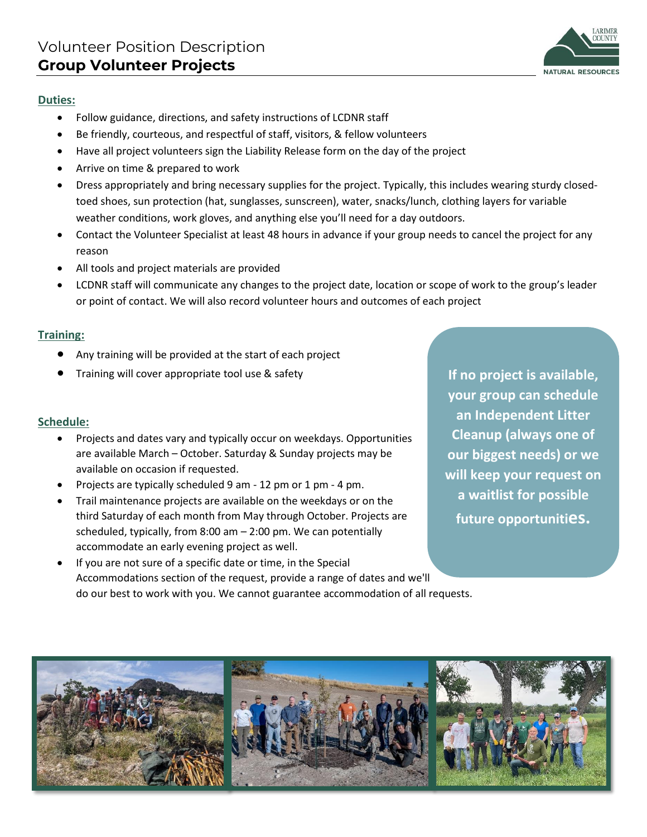## LARIMER **NATURAL RESOURCES**

#### **Duties:**

- Follow guidance, directions, and safety instructions of LCDNR staff
- Be friendly, courteous, and respectful of staff, visitors, & fellow volunteers
- Have all project volunteers sign the Liability Release form on the day of the project
- Arrive on time & prepared to work
- Dress appropriately and bring necessary supplies for the project. Typically, this includes wearing sturdy closedtoed shoes, sun protection (hat, sunglasses, sunscreen), water, snacks/lunch, clothing layers for variable weather conditions, work gloves, and anything else you'll need for a day outdoors.
- Contact the Volunteer Specialist at least 48 hours in advance if your group needs to cancel the project for any reason
- All tools and project materials are provided
- LCDNR staff will communicate any changes to the project date, location or scope of work to the group's leader or point of contact. We will also record volunteer hours and outcomes of each project

### **Training:**

- Any training will be provided at the start of each project
- Training will cover appropriate tool use & safety

## **Schedule:**

- Projects and dates vary and typically occur on weekdays. Opportunities are available March – October. Saturday & Sunday projects may be available on occasion if requested.
- Projects are typically scheduled 9 am 12 pm or 1 pm 4 pm.
- Trail maintenance projects are available on the weekdays or on the third Saturday of each month from May through October. Projects are scheduled, typically, from 8:00 am  $-$  2:00 pm. We can potentially accommodate an early evening project as well.
	- If you are not sure of a specific date or time, in the Special Accommodations section of the request, provide a range of dates and we'll do our best to work with you. We cannot guarantee accommodation of all requests.

**If no project is available, your group can schedule an Independent Litter Cleanup (always one of our biggest needs) or we will keep your request on a waitlist for possible future opportunities.**